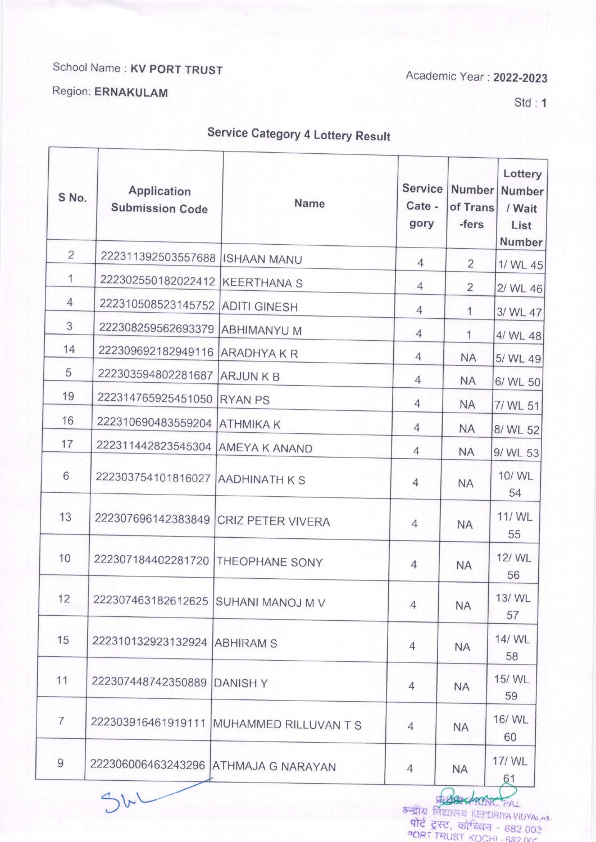## School Name: KV PORT TRUST

Academic Year : 2022-2023

## Region: ERNAKULAM

Std:1

## Service Category 4 Lottery Result

| S No.          | <b>Application</b><br><b>Submission Code</b> | <b>Name</b>           | <b>Service</b><br>Cate -<br>gory | <b>Number</b><br>of Trans<br>-fers | Lottery<br>Number<br>/ Wait<br>List<br><b>Number</b> |
|----------------|----------------------------------------------|-----------------------|----------------------------------|------------------------------------|------------------------------------------------------|
| $\overline{2}$ | 222311392503557688 ISHAAN MANU               |                       | $\overline{4}$                   | 2                                  | 1/ WL 45                                             |
| 1              | 222302550182022412 KEERTHANA S               |                       | $\overline{4}$                   | $\overline{2}$                     | 2/ WL 46                                             |
| $\overline{4}$ | 222310508523145752 ADITI GINESH              |                       | $\overline{4}$                   | 1                                  | 3/ WL 47                                             |
| 3              | 222308259562693379 ABHIMANYU M               |                       | $\overline{4}$                   | 1                                  | 4/ WL 48                                             |
| 14             | 222309692182949116                           | <b>ARADHYAKR</b>      | $\overline{4}$                   | <b>NA</b>                          | 5/ WL 49                                             |
| 5              | 222303594802281687                           | <b>ARJUNKB</b>        | $\overline{4}$                   | <b>NA</b>                          | 6/ WL 50                                             |
| 19             | 222314765925451050                           | <b>RYAN PS</b>        | $\overline{4}$                   | <b>NA</b>                          | 7/ WL 51                                             |
| 16             | 222310690483559204                           | <b>ATHMIKAK</b>       | $\overline{4}$                   | <b>NA</b>                          | 8/ WL 52                                             |
| 17             | 222311442823545304 AMEYA K ANAND             |                       | $\overline{4}$                   | <b>NA</b>                          | 9/ WL 53                                             |
| 6              | 222303754101816027 AADHINATH K S             |                       | $\overline{4}$                   | <b>NA</b>                          | 10/ WL<br>54                                         |
| 13             | 222307696142383849                           | CRIZ PETER VIVERA     | $\overline{4}$                   | <b>NA</b>                          | 11/ WL<br>55                                         |
| 10             | 222307184402281720                           | THEOPHANE SONY        | $\overline{4}$                   | <b>NA</b>                          | 12/ WL<br>56                                         |
| 12             | 222307463182612625 SUHANI MANOJ M V          |                       | $\overline{4}$                   | <b>NA</b>                          | 13/ WL<br>57                                         |
| 15             | 222310132923132924 ABHIRAM S                 |                       | $\overline{4}$                   | <b>NA</b>                          | 14/ WL<br>58                                         |
| 11             | 222307448742350889                           | <b>DANISHY</b>        | $\overline{4}$                   | <b>NA</b>                          | 15/ WL<br>59                                         |
| $\overline{7}$ | 222303916461919111                           | MUHAMMED RILLUVAN T S | $\overline{4}$                   | <b>NA</b>                          | 16/ WL<br>60                                         |
| $\overline{9}$ | 222306006463243296 ATHMAJA G NARAYAN         |                       | $\overline{4}$                   | <b>NA</b>                          | 17/WL<br>61                                          |

 $\mathcal{D}$ bu  $\mathcal{D}$ 9Tटे ट्रस्ट, कोन्डियन - 682,003<br>PORT TRUST KOCHI -682 005 **BELLATATC PAL**